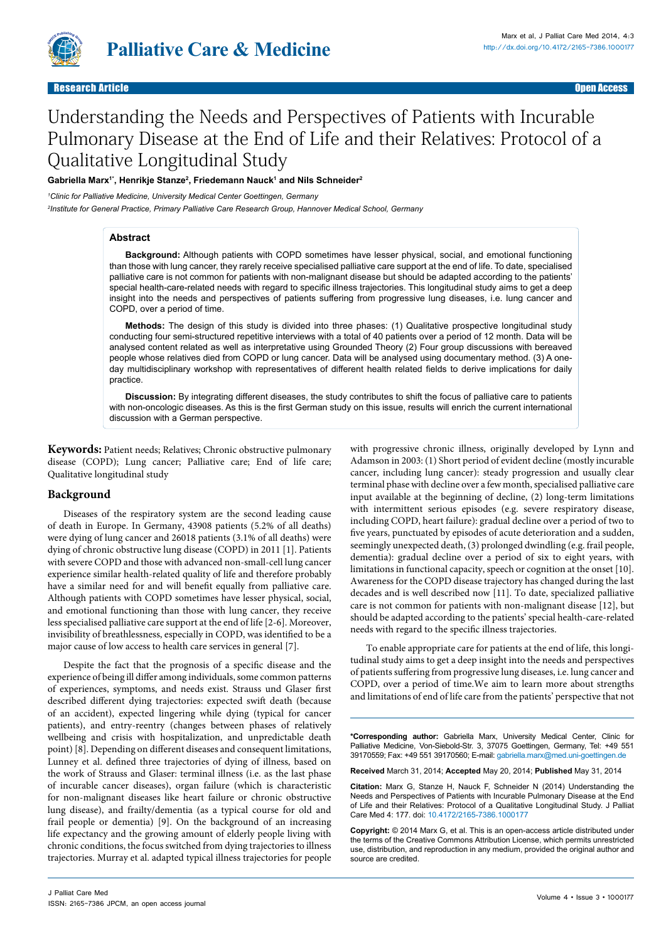

# Understanding the Needs and Perspectives of Patients with Incurable Pulmonary Disease at the End of Life and their Relatives: Protocol of a Qualitative Longitudinal Study

# **Gabriella Marx1\*, Henrikje Stanze2 , Friedemann Nauck1 and Nils Schneider2**

*1 Clinic for Palliative Medicine, University Medical Center Goettingen, Germany 2 Institute for General Practice, Primary Palliative Care Research Group, Hannover Medical School, Germany*

## **Abstract**

**Background:** Although patients with COPD sometimes have lesser physical, social, and emotional functioning than those with lung cancer, they rarely receive specialised palliative care support at the end of life. To date, specialised palliative care is not common for patients with non-malignant disease but should be adapted according to the patients' special health-care-related needs with regard to specific illness trajectories. This longitudinal study aims to get a deep insight into the needs and perspectives of patients suffering from progressive lung diseases, i.e. lung cancer and COPD, over a period of time.

**Methods:** The design of this study is divided into three phases: (1) Qualitative prospective longitudinal study conducting four semi-structured repetitive interviews with a total of 40 patients over a period of 12 month. Data will be analysed content related as well as interpretative using Grounded Theory (2) Four group discussions with bereaved people whose relatives died from COPD or lung cancer. Data will be analysed using documentary method. (3) A oneday multidisciplinary workshop with representatives of different health related fields to derive implications for daily practice.

**Discussion:** By integrating different diseases, the study contributes to shift the focus of palliative care to patients with non-oncologic diseases. As this is the first German study on this issue, results will enrich the current international discussion with a German perspective.

**Keywords:** Patient needs; Relatives; Chronic obstructive pulmonary disease (COPD); Lung cancer; Palliative care; End of life care; Qualitative longitudinal study

## **Background**

Diseases of the respiratory system are the second leading cause of death in Europe. In Germany, 43908 patients (5.2% of all deaths) were dying of lung cancer and 26018 patients (3.1% of all deaths) were dying of chronic obstructive lung disease (COPD) in 2011 [1]. Patients with severe COPD and those with advanced non-small-cell lung cancer experience similar health-related quality of life and therefore probably have a similar need for and will benefit equally from palliative care. Although patients with COPD sometimes have lesser physical, social, and emotional functioning than those with lung cancer, they receive less specialised palliative care support at the end of life [2-6]. Moreover, invisibility of breathlessness, especially in COPD, was identified to be a major cause of low access to health care services in general [7].

Despite the fact that the prognosis of a specific disease and the experience of being ill differ among individuals, some common patterns of experiences, symptoms, and needs exist. Strauss und Glaser first described different dying trajectories: expected swift death (because of an accident), expected lingering while dying (typical for cancer patients), and entry-reentry (changes between phases of relatively wellbeing and crisis with hospitalization, and unpredictable death point) [8]. Depending on different diseases and consequent limitations, Lunney et al. defined three trajectories of dying of illness, based on the work of Strauss and Glaser: terminal illness (i.e. as the last phase of incurable cancer diseases), organ failure (which is characteristic for non-malignant diseases like heart failure or chronic obstructive lung disease), and frailty/dementia (as a typical course for old and frail people or dementia) [9]. On the background of an increasing life expectancy and the growing amount of elderly people living with chronic conditions, the focus switched from dying trajectories to illness trajectories. Murray et al. adapted typical illness trajectories for people

with progressive chronic illness, originally developed by Lynn and Adamson in 2003: (1) Short period of evident decline (mostly incurable cancer, including lung cancer): steady progression and usually clear terminal phase with decline over a few month, specialised palliative care input available at the beginning of decline, (2) long-term limitations with intermittent serious episodes (e.g. severe respiratory disease, including COPD, heart failure): gradual decline over a period of two to five years, punctuated by episodes of acute deterioration and a sudden, seemingly unexpected death, (3) prolonged dwindling (e.g. frail people, dementia): gradual decline over a period of six to eight years, with limitations in functional capacity, speech or cognition at the onset [10]. Awareness for the COPD disease trajectory has changed during the last decades and is well described now [11]. To date, specialized palliative care is not common for patients with non-malignant disease [12], but should be adapted according to the patients' special health-care-related needs with regard to the specific illness trajectories.

To enable appropriate care for patients at the end of life, this longitudinal study aims to get a deep insight into the needs and perspectives of patients suffering from progressive lung diseases, i.e. lung cancer and COPD, over a period of time.We aim to learn more about strengths and limitations of end of life care from the patients' perspective that not

**\*Corresponding author:** Gabriella Marx, University Medical Center, Clinic for Palliative Medicine, Von-Siebold-Str. 3, 37075 Goettingen, Germany, Tel: +49 551 39170559; Fax: +49 551 39170560; E-mail: gabriella.marx@med.uni-goettingen.de

**Received** March 31, 2014; **Accepted** May 20, 2014; **Published** May 31, 2014

**Citation:** Marx G, Stanze H, Nauck F, Schneider N (2014) Understanding the Needs and Perspectives of Patients with Incurable Pulmonary Disease at the End of Life and their Relatives: Protocol of a Qualitative Longitudinal Study. J Palliat Care Med 4: 177. doi: [10.4172/2165-7386.1000177](http://dx.doi.org/10.4172/2165-7386.1000177
)

**Copyright:** © 2014 Marx G, et al. This is an open-access article distributed under the terms of the Creative Commons Attribution License, which permits unrestricted use, distribution, and reproduction in any medium, provided the original author and source are credited.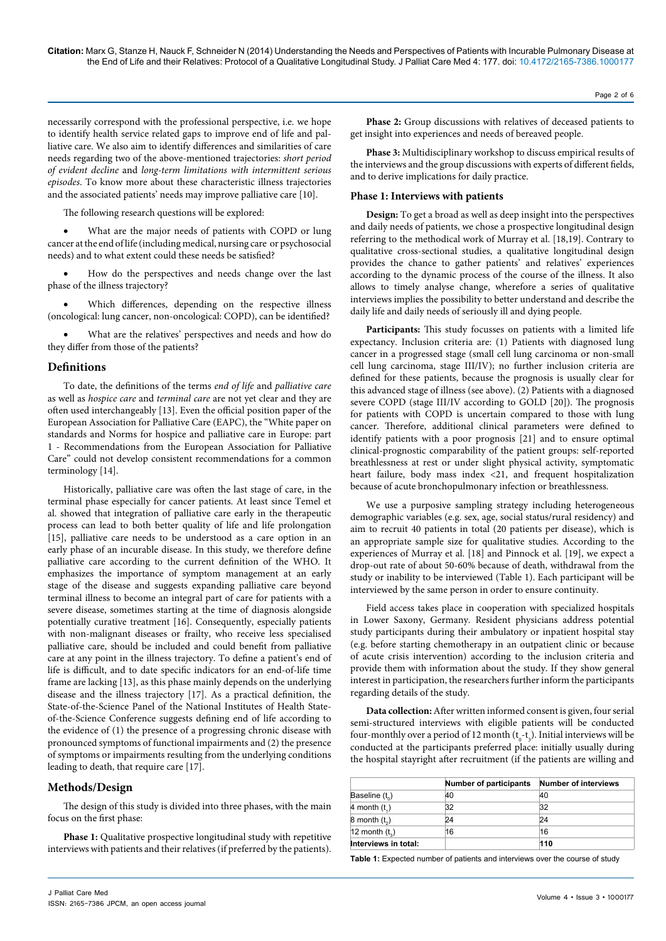necessarily correspond with the professional perspective, i.e. we hope to identify health service related gaps to improve end of life and palliative care. We also aim to identify differences and similarities of care needs regarding two of the above-mentioned trajectories: *short period of evident decline* and *long-term limitations with intermittent serious episodes*. To know more about these characteristic illness trajectories and the associated patients' needs may improve palliative care [10].

The following research questions will be explored:

What are the major needs of patients with COPD or lung cancer at the end of life (including medical, nursing care or psychosocial needs) and to what extent could these needs be satisfied?

How do the perspectives and needs change over the last phase of the illness trajectory?

Which differences, depending on the respective illness (oncological: lung cancer, non-oncological: COPD), can be identified?

What are the relatives' perspectives and needs and how do they differ from those of the patients?

# **Definitions**

To date, the definitions of the terms *end of life* and *palliative care* as well as *hospice care* and *terminal care* are not yet clear and they are often used interchangeably [13]. Even the official position paper of the European Association for Palliative Care (EAPC), the "White paper on standards and Norms for hospice and palliative care in Europe: part 1 - Recommendations from the European Association for Palliative Care" could not develop consistent recommendations for a common terminology [14].

Historically, palliative care was often the last stage of care, in the terminal phase especially for cancer patients. At least since Temel et al. showed that integration of palliative care early in the therapeutic process can lead to both better quality of life and life prolongation [15], palliative care needs to be understood as a care option in an early phase of an incurable disease. In this study, we therefore define palliative care according to the current definition of the WHO. It emphasizes the importance of symptom management at an early stage of the disease and suggests expanding palliative care beyond terminal illness to become an integral part of care for patients with a severe disease, sometimes starting at the time of diagnosis alongside potentially curative treatment [16]. Consequently, especially patients with non-malignant diseases or frailty, who receive less specialised palliative care, should be included and could benefit from palliative care at any point in the illness trajectory. To define a patient's end of life is difficult, and to date specific indicators for an end-of-life time frame are lacking [13], as this phase mainly depends on the underlying disease and the illness trajectory [17]. As a practical definition, the State-of-the-Science Panel of the National Institutes of Health Stateof-the-Science Conference suggests defining end of life according to the evidence of (1) the presence of a progressing chronic disease with pronounced symptoms of functional impairments and (2) the presence of symptoms or impairments resulting from the underlying conditions leading to death, that require care [17].

# **Methods/Design**

The design of this study is divided into three phases, with the main focus on the first phase:

**Phase 1:** Qualitative prospective longitudinal study with repetitive interviews with patients and their relatives (if preferred by the patients).

**Phase 2:** Group discussions with relatives of deceased patients to get insight into experiences and needs of bereaved people.

**Phase 3:** Multidisciplinary workshop to discuss empirical results of the interviews and the group discussions with experts of different fields, and to derive implications for daily practice.

# **Phase 1: Interviews with patients**

**Design:** To get a broad as well as deep insight into the perspectives and daily needs of patients, we chose a prospective longitudinal design referring to the methodical work of Murray et al. [18,19]. Contrary to qualitative cross-sectional studies, a qualitative longitudinal design provides the chance to gather patients' and relatives' experiences according to the dynamic process of the course of the illness. It also allows to timely analyse change, wherefore a series of qualitative interviews implies the possibility to better understand and describe the daily life and daily needs of seriously ill and dying people.

**Participants:** This study focusses on patients with a limited life expectancy. Inclusion criteria are: (1) Patients with diagnosed lung cancer in a progressed stage (small cell lung carcinoma or non-small cell lung carcinoma, stage III/IV); no further inclusion criteria are defined for these patients, because the prognosis is usually clear for this advanced stage of illness (see above). (2) Patients with a diagnosed severe COPD (stage III/IV according to GOLD [20]). The prognosis for patients with COPD is uncertain compared to those with lung cancer. Therefore, additional clinical parameters were defined to identify patients with a poor prognosis [21] and to ensure optimal clinical-prognostic comparability of the patient groups: self-reported breathlessness at rest or under slight physical activity, symptomatic heart failure, body mass index <21, and frequent hospitalization because of acute bronchopulmonary infection or breathlessness.

We use a purposive sampling strategy including heterogeneous demographic variables (e.g. sex, age, social status/rural residency) and aim to recruit 40 patients in total (20 patients per disease), which is an appropriate sample size for qualitative studies. According to the experiences of Murray et al. [18] and Pinnock et al. [19], we expect a drop-out rate of about 50-60% because of death, withdrawal from the study or inability to be interviewed (Table 1). Each participant will be interviewed by the same person in order to ensure continuity.

Field access takes place in cooperation with specialized hospitals in Lower Saxony, Germany. Resident physicians address potential study participants during their ambulatory or inpatient hospital stay (e.g. before starting chemotherapy in an outpatient clinic or because of acute crisis intervention) according to the inclusion criteria and provide them with information about the study. If they show general interest in participation, the researchers further inform the participants regarding details of the study.

**Data collection:** After written informed consent is given, four serial semi-structured interviews with eligible patients will be conducted four-monthly over a period of 12 month  $(t_0-t_3)$ . Initial interviews will be conducted at the participants preferred place: initially usually during the hospital stayright after recruitment (if the patients are willing and

|                      | <b>Number of participants</b> | <b>Number of interviews</b> |
|----------------------|-------------------------------|-----------------------------|
| Baseline $(t_0)$     | 40                            | 40                          |
| 4 month $(t_1)$      | 32                            | 32                          |
| $8$ month $(t2)$     | 24                            | 24                          |
| 12 month $(t_2)$     | 16                            | 16                          |
| Interviews in total: |                               | 110                         |

**Table 1:** Expected number of patients and interviews over the course of study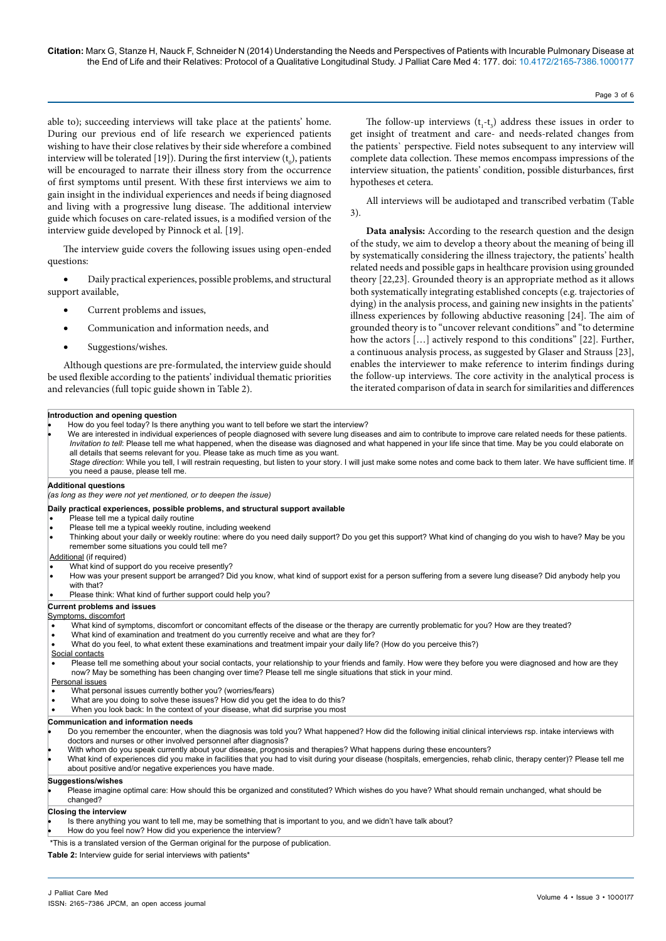able to); succeeding interviews will take place at the patients' home. During our previous end of life research we experienced patients wishing to have their close relatives by their side wherefore a combined interview will be tolerated [19]). During the first interview  $({\rm t}_{_{0}})$ , patients will be encouraged to narrate their illness story from the occurrence of first symptoms until present. With these first interviews we aim to gain insight in the individual experiences and needs if being diagnosed and living with a progressive lung disease. The additional interview guide which focuses on care-related issues, is a modified version of the interview guide developed by Pinnock et al. [19].

The interview guide covers the following issues using open-ended questions:

Daily practical experiences, possible problems, and structural support available,

- Current problems and issues,
- Communication and information needs, and
- Suggestions/wishes.

Although questions are pre-formulated, the interview guide should be used flexible according to the patients' individual thematic priorities and relevancies (full topic guide shown in Table 2).

The follow-up interviews  $(t_1-t_3)$  address these issues in order to get insight of treatment and care- and needs-related changes from the patients` perspective. Field notes subsequent to any interview will complete data collection. These memos encompass impressions of the interview situation, the patients' condition, possible disturbances, first hypotheses et cetera.

All interviews will be audiotaped and transcribed verbatim (Table 3).

**Data analysis:** According to the research question and the design of the study, we aim to develop a theory about the meaning of being ill by systematically considering the illness trajectory, the patients' health related needs and possible gaps in healthcare provision using grounded theory [22,23]. Grounded theory is an appropriate method as it allows both systematically integrating established concepts (e.g. trajectories of dying) in the analysis process, and gaining new insights in the patients' illness experiences by following abductive reasoning [24]. The aim of grounded theory is to "uncover relevant conditions" and "to determine how the actors [...] actively respond to this conditions" [22]. Further, a continuous analysis process, as suggested by Glaser and Strauss [23], enables the interviewer to make reference to interim findings during the follow-up interviews. The core activity in the analytical process is the iterated comparison of data in search for similarities and differences

#### **Introduction and opening question**

How do you feel today? Is there anything you want to tell before we start the interview?

- We are interested in individual experiences of people diagnosed with severe lung diseases and aim to contribute to improve care related needs for these patients. *Invitation to tell*: Please tell me what happened, when the disease was diagnosed and what happened in your life since that time. May be you could elaborate on all details that seems relevant for you. Please take as much time as you want.
	- *Stage direction*: While you tell, I will restrain requesting, but listen to your story. I will just make some notes and come back to them later. We have sufficient time. If you need a pause, please tell me.

#### **Additional questions**

*(as long as they were not yet mentioned, or to deepen the issue)*

#### **Daily practical experiences, possible problems, and structural support available**

- Please tell me a typical daily routine
- Please tell me a typical weekly routine, including weekend
- Thinking about your daily or weekly routine: where do you need daily support? Do you get this support? What kind of changing do you wish to have? May be you remember some situations you could tell me?

#### Additional (if required)

- What kind of support do you receive presently?
- How was your present support be arranged? Did you know, what kind of support exist for a person suffering from a severe lung disease? Did anybody help you with that?
- Please think: What kind of further support could help you?

#### **Current problems and issues**

#### Symptoms, discomfort

- What kind of symptoms, discomfort or concomitant effects of the disease or the therapy are currently problematic for you? How are they treated?
- What kind of examination and treatment do you currently receive and what are they for?
- What do you feel, to what extent these examinations and treatment impair your daily life? (How do you perceive this?)

## Social contacts

Please tell me something about your social contacts, your relationship to your friends and family. How were they before you were diagnosed and how are they now? May be something has been changing over time? Please tell me single situations that stick in your mind.

- Personal issues
- What personal issues currently bother you? (worries/fears)
- What are you doing to solve these issues? How did you get the idea to do this?
- When you look back: In the context of your disease, what did surprise you most

## **Communication and information needs**

- Do you remember the encounter, when the diagnosis was told you? What happened? How did the following initial clinical interviews rsp. intake interviews with doctors and nurses or other involved personnel after diagnosis?
- With whom do you speak currently about your disease, prognosis and therapies? What happens during these encounters?
- What kind of experiences did you make in facilities that you had to visit during your disease (hospitals, emergencies, rehab clinic, therapy center)? Please tell me about positive and/or negative experiences you have made.

#### **Suggestions/wishes**

Please imagine optimal care: How should this be organized and constituted? Which wishes do you have? What should remain unchanged, what should be changed?

### **Closing the interview**

- Is there anything you want to tell me, may be something that is important to you, and we didn't have talk about?
- How do you feel now? How did you experience the interview?

\*This is a translated version of the German original for the purpose of publication.

**Table 2:** Interview guide for serial interviews with patients\*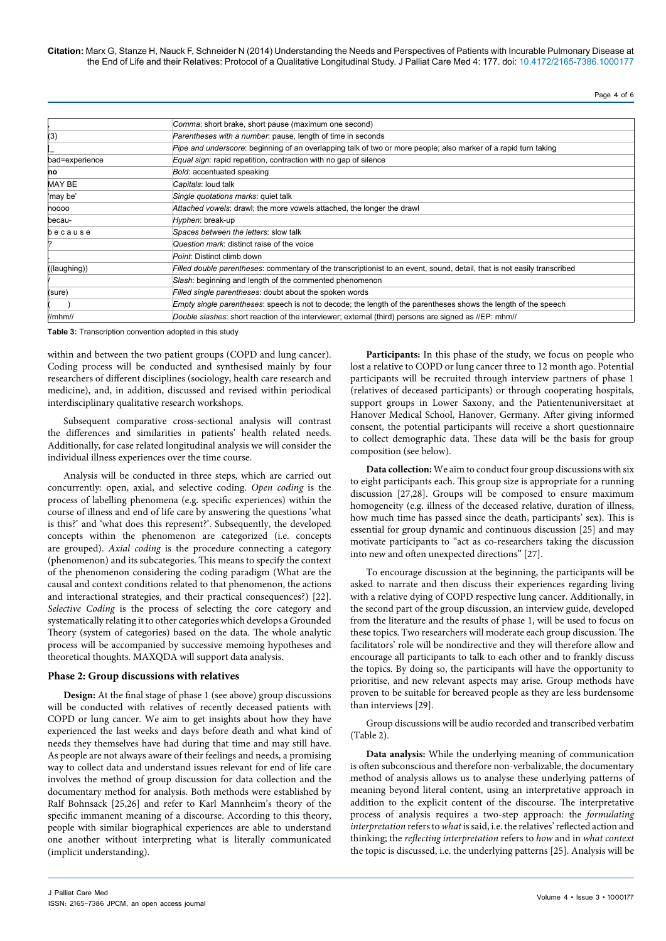**Citation:** Marx G, Stanze H, Nauck F, Schneider N (2014) Understanding the Needs and Perspectives of Patients with Incurable Pulmonary Disease at the End of Life and their Relatives: Protocol of a Qualitative Longitudinal Study. J Palliat Care Med 4: 177. doi: [10.4172/2165-7386.1000177](http://dx.doi.org/10.4172/2165-7386.1000177
)

Page 4 of 6

|                | Comma: short brake, short pause (maximum one second)                                                                     |  |
|----------------|--------------------------------------------------------------------------------------------------------------------------|--|
| (3)            | Parentheses with a number, pause, length of time in seconds                                                              |  |
|                | Pipe and underscore: beginning of an overlapping talk of two or more people; also marker of a rapid turn taking          |  |
| bad=experience | Equal sign: rapid repetition, contraction with no gap of silence                                                         |  |
| no             | Bold: accentuated speaking                                                                                               |  |
| MAY BE         | Capitals: loud talk                                                                                                      |  |
| 'may be'       | Single quotations marks: quiet talk                                                                                      |  |
| noooo          | Attached vowels: drawl; the more vowels attached, the longer the drawl                                                   |  |
| becau-         | Hyphen: break-up                                                                                                         |  |
| because        | Spaces between the letters: slow talk                                                                                    |  |
|                | Question mark: distinct raise of the voice                                                                               |  |
|                | Point: Distinct climb down                                                                                               |  |
| ((laughing))   | Filled double parentheses: commentary of the transcriptionist to an event, sound, detail, that is not easily transcribed |  |
|                | Slash: beginning and length of the commented phenomenon                                                                  |  |
| (sure)         | Filled single parentheses: doubt about the spoken words                                                                  |  |
|                | <i>Empty single parentheses:</i> speech is not to decode; the length of the parentheses shows the length of the speech   |  |
| $l$ /mhm//     | Double slashes: short reaction of the interviewer; external (third) persons are signed as //EP: mhm//                    |  |

**Table 3:** Transcription convention adopted in this study

within and between the two patient groups (COPD and lung cancer). Coding process will be conducted and synthesised mainly by four researchers of different disciplines (sociology, health care research and medicine), and, in addition, discussed and revised within periodical interdisciplinary qualitative research workshops.

Subsequent comparative cross-sectional analysis will contrast the differences and similarities in patients' health related needs. Additionally, for case related longitudinal analysis we will consider the individual illness experiences over the time course.

Analysis will be conducted in three steps, which are carried out concurrently: open, axial, and selective coding. *Open coding* is the process of labelling phenomena (e.g. specific experiences) within the course of illness and end of life care by answering the questions 'what is this?' and 'what does this represent?'. Subsequently, the developed concepts within the phenomenon are categorized (i.e. concepts are grouped). *Axial coding* is the procedure connecting a category (phenomenon) and its subcategories. This means to specify the context of the phenomenon considering the coding paradigm (What are the causal and context conditions related to that phenomenon, the actions and interactional strategies, and their practical consequences?) [22]. *Selective Coding* is the process of selecting the core category and systematically relating it to other categories which develops a Grounded Theory (system of categories) based on the data. The whole analytic process will be accompanied by successive memoing hypotheses and theoretical thoughts. MAXQDA will support data analysis.

## **Phase 2: Group discussions with relatives**

**Design:** At the final stage of phase 1 (see above) group discussions will be conducted with relatives of recently deceased patients with COPD or lung cancer. We aim to get insights about how they have experienced the last weeks and days before death and what kind of needs they themselves have had during that time and may still have. As people are not always aware of their feelings and needs, a promising way to collect data and understand issues relevant for end of life care involves the method of group discussion for data collection and the documentary method for analysis. Both methods were established by Ralf Bohnsack [25,26] and refer to Karl Mannheim's theory of the specific immanent meaning of a discourse. According to this theory, people with similar biographical experiences are able to understand one another without interpreting what is literally communicated (implicit understanding).

**Participants:** In this phase of the study, we focus on people who lost a relative to COPD or lung cancer three to 12 month ago. Potential participants will be recruited through interview partners of phase 1 (relatives of deceased participants) or through cooperating hospitals, support groups in Lower Saxony, and the Patientenuniversitaet at Hanover Medical School, Hanover, Germany. After giving informed consent, the potential participants will receive a short questionnaire to collect demographic data. These data will be the basis for group composition (see below).

**Data collection:** We aim to conduct four group discussions with six to eight participants each. This group size is appropriate for a running discussion [27,28]. Groups will be composed to ensure maximum homogeneity (e.g. illness of the deceased relative, duration of illness, how much time has passed since the death, participants' sex). This is essential for group dynamic and continuous discussion [25] and may motivate participants to "act as co-researchers taking the discussion into new and often unexpected directions" [27].

To encourage discussion at the beginning, the participants will be asked to narrate and then discuss their experiences regarding living with a relative dying of COPD respective lung cancer. Additionally, in the second part of the group discussion, an interview guide, developed from the literature and the results of phase 1, will be used to focus on these topics. Two researchers will moderate each group discussion. The facilitators' role will be nondirective and they will therefore allow and encourage all participants to talk to each other and to frankly discuss the topics. By doing so, the participants will have the opportunity to prioritise, and new relevant aspects may arise. Group methods have proven to be suitable for bereaved people as they are less burdensome than interviews [29].

Group discussions will be audio recorded and transcribed verbatim (Table 2).

**Data analysis:** While the underlying meaning of communication is often subconscious and therefore non-verbalizable, the documentary method of analysis allows us to analyse these underlying patterns of meaning beyond literal content, using an interpretative approach in addition to the explicit content of the discourse. The interpretative process of analysis requires a two-step approach: the *formulating interpretation* refers to *what* is said, i.e. the relatives' reflected action and thinking; the *reflecting interpretation* refers to *how* and in *what context* the topic is discussed, i.e. the underlying patterns [25]. Analysis will be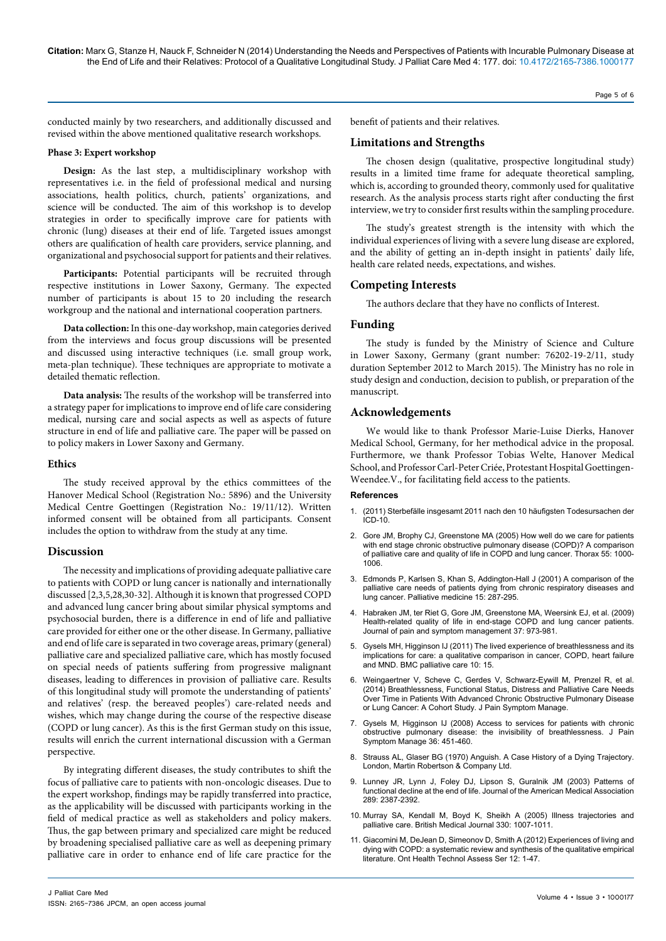Page 5 of 6

conducted mainly by two researchers, and additionally discussed and revised within the above mentioned qualitative research workshops.

## **Phase 3: Expert workshop**

**Design:** As the last step, a multidisciplinary workshop with representatives i.e. in the field of professional medical and nursing associations, health politics, church, patients' organizations, and science will be conducted. The aim of this workshop is to develop strategies in order to specifically improve care for patients with chronic (lung) diseases at their end of life. Targeted issues amongst others are qualification of health care providers, service planning, and organizational and psychosocial support for patients and their relatives.

**Participants:** Potential participants will be recruited through respective institutions in Lower Saxony, Germany. The expected number of participants is about 15 to 20 including the research workgroup and the national and international cooperation partners.

**Data collection:** In this one-day workshop, main categories derived from the interviews and focus group discussions will be presented and discussed using interactive techniques (i.e. small group work, meta-plan technique). These techniques are appropriate to motivate a detailed thematic reflection.

**Data analysis:** The results of the workshop will be transferred into a strategy paper for implications to improve end of life care considering medical, nursing care and social aspects as well as aspects of future structure in end of life and palliative care. The paper will be passed on to policy makers in Lower Saxony and Germany.

## **Ethics**

The study received approval by the ethics committees of the Hanover Medical School (Registration No.: 5896) and the University Medical Centre Goettingen (Registration No.: 19/11/12). Written informed consent will be obtained from all participants. Consent includes the option to withdraw from the study at any time.

## **Discussion**

The necessity and implications of providing adequate palliative care to patients with COPD or lung cancer is nationally and internationally discussed [2,3,5,28,30-32]. Although it is known that progressed COPD and advanced lung cancer bring about similar physical symptoms and psychosocial burden, there is a difference in end of life and palliative care provided for either one or the other disease. In Germany, palliative and end of life care is separated in two coverage areas, primary (general) palliative care and specialized palliative care, which has mostly focused on special needs of patients suffering from progressive malignant diseases, leading to differences in provision of palliative care. Results of this longitudinal study will promote the understanding of patients' and relatives' (resp. the bereaved peoples') care-related needs and wishes, which may change during the course of the respective disease (COPD or lung cancer). As this is the first German study on this issue, results will enrich the current international discussion with a German perspective.

By integrating different diseases, the study contributes to shift the focus of palliative care to patients with non-oncologic diseases. Due to the expert workshop, findings may be rapidly transferred into practice, as the applicability will be discussed with participants working in the field of medical practice as well as stakeholders and policy makers. Thus, the gap between primary and specialized care might be reduced by broadening specialised palliative care as well as deepening primary palliative care in order to enhance end of life care practice for the benefit of patients and their relatives.

# **Limitations and Strengths**

The chosen design (qualitative, prospective longitudinal study) results in a limited time frame for adequate theoretical sampling, which is, according to grounded theory, commonly used for qualitative research. As the analysis process starts right after conducting the first interview, we try to consider first results within the sampling procedure.

The study's greatest strength is the intensity with which the individual experiences of living with a severe lung disease are explored, and the ability of getting an in-depth insight in patients' daily life, health care related needs, expectations, and wishes.

# **Competing Interests**

The authors declare that they have no conflicts of Interest.

## **Funding**

The study is funded by the Ministry of Science and Culture in Lower Saxony, Germany (grant number: 76202-19-2/11, study duration September 2012 to March 2015). The Ministry has no role in study design and conduction, decision to publish, or preparation of the manuscript.

# **Acknowledgements**

We would like to thank Professor Marie-Luise Dierks, Hanover Medical School, Germany, for her methodical advice in the proposal. Furthermore, we thank Professor Tobias Welte, Hanover Medical School, and Professor Carl-Peter Criée, Protestant Hospital Goettingen-Weendee.V., for facilitating field access to the patients.

## **References**

- 1. (2011) Sterbefälle insgesamt 2011 nach den 10 häufigsten Todesursachen der ICD-10.
- 2. [Gore JM, Brophy CJ, Greenstone MA \(2005\) How well do we care for patients](http://www.ncbi.nlm.nih.gov/pubmed/11083884)  [with end stage chronic obstructive pulmonary disease \(COPD\)? A comparison](http://www.ncbi.nlm.nih.gov/pubmed/11083884)  [of palliative care and quality of life in COPD and lung cancer. Thorax 55: 1000-](http://www.ncbi.nlm.nih.gov/pubmed/11083884) [1006.](http://www.ncbi.nlm.nih.gov/pubmed/11083884)
- 3. [Edmonds P, Karlsen S, Khan S, Addington-Hall J \(2001\) A comparison of the](http://www.ncbi.nlm.nih.gov/pubmed/12054146)  [palliative care needs of patients dying from chronic respiratory diseases and](http://www.ncbi.nlm.nih.gov/pubmed/12054146)  [lung cancer. Palliative medicine 15: 287-295.](http://www.ncbi.nlm.nih.gov/pubmed/12054146)
- 4. [Habraken JM, ter Riet G, Gore JM, Greenstone MA, Weersink EJ, et al. \(2009\)](http://www.ncbi.nlm.nih.gov/pubmed/20530038)  Health-related quality of life in end-stage COPD and lung cancer patients. [Journal of pain and symptom management 37: 973-981.](http://www.ncbi.nlm.nih.gov/pubmed/20530038)
- 5. Gysels MH, Higginson IJ (2011) The lived experience of breathlessness and its implications for care: a qualitative comparison in cancer, COPD, heart failure and MND. BMC palliative care 10: 15.
- 6. [Weingaertner V, Scheve C, Gerdes V, Schwarz-Eywill M, Prenzel R, et al.](http://www.ncbi.nlm.nih.gov/pubmed/24613784)  [\(2014\) Breathlessness, Functional Status, Distress and Palliative Care Needs](http://www.ncbi.nlm.nih.gov/pubmed/24613784)  [Over Time in Patients With Advanced Chronic Obstructive Pulmonary Disease](http://www.ncbi.nlm.nih.gov/pubmed/24613784)  [or Lung Cancer: A Cohort Study. J Pain Symptom Manage.](http://www.ncbi.nlm.nih.gov/pubmed/24613784)
- 7. [Gysels M, Higginson IJ \(2008\) Access to services for patients with chronic](http://www.ncbi.nlm.nih.gov/pubmed/18495412)  [obstructive pulmonary disease: the invisibility of breathlessness. J Pain](http://www.ncbi.nlm.nih.gov/pubmed/18495412)  [Symptom Manage 36: 451-460.](http://www.ncbi.nlm.nih.gov/pubmed/18495412)
- 8. [Strauss AL, Glaser BG \(1970\) Anguish. A Case History of a Dying Trajectory.](http://books.google.co.in/books/about/Anguish.html?id=GotrAAAAMAAJ&redir_esc=y)  [London, Martin Robertson & Company Ltd.](http://books.google.co.in/books/about/Anguish.html?id=GotrAAAAMAAJ&redir_esc=y)
- 9. [Lunney JR, Lynn J, Foley DJ, Lipson S, Guralnik JM \(2003\) Patterns of](http://www.ncbi.nlm.nih.gov/pubmed/12746362)  [functional decline at the end of life. Journal of the American Medical Association](http://www.ncbi.nlm.nih.gov/pubmed/12746362)  [289: 2387-2392.](http://www.ncbi.nlm.nih.gov/pubmed/12746362)
- 10. [Murray SA, Kendall M, Boyd K, Sheikh A \(2005\) Illness trajectories and](http://www.ncbi.nlm.nih.gov/pubmed/15860828)  [palliative care. British Medical Journal 330: 1007-1011.](http://www.ncbi.nlm.nih.gov/pubmed/15860828)
- . Giacomini M, DeJean D, Simeonov D, Smith A (2012) Experiences of living and [dying with COPD: a systematic review and synthesis of the qualitative empirical](http://www.ncbi.nlm.nih.gov/pubmed/23074423)  [literature. Ont Health Technol Assess Ser 12: 1-47.](http://www.ncbi.nlm.nih.gov/pubmed/23074423)